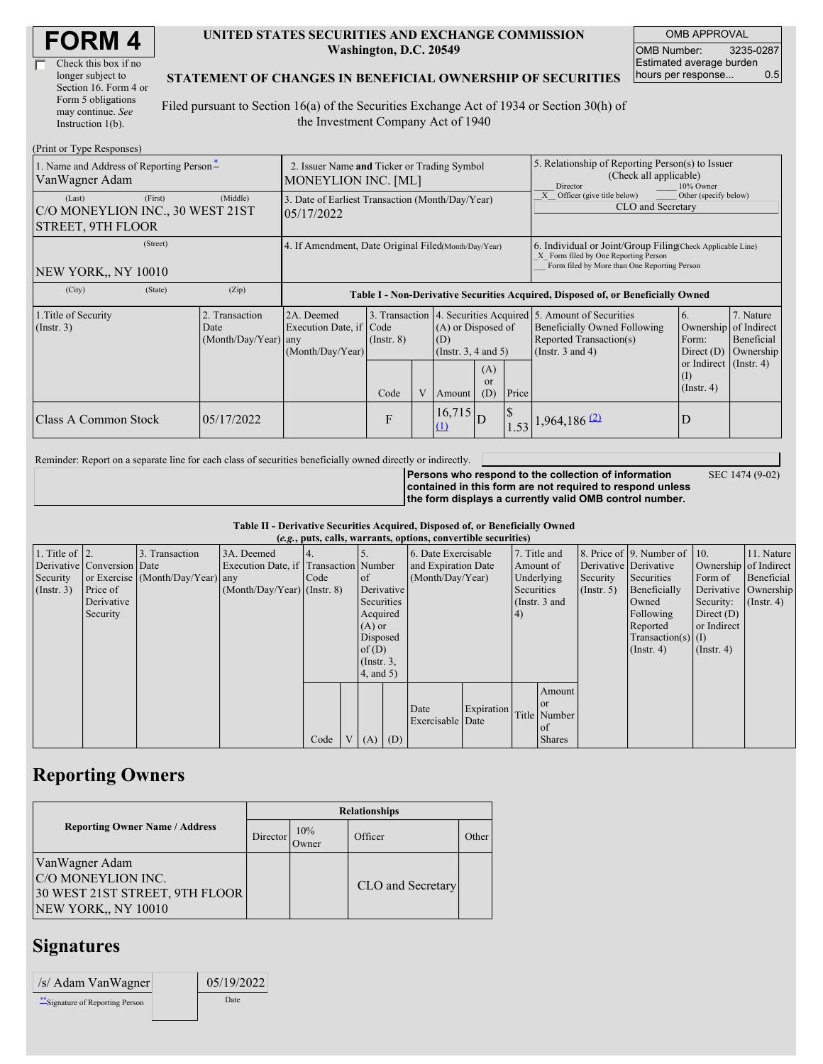| <b>FORM4</b> |
|--------------|
|--------------|

| Check this box if no  |
|-----------------------|
| longer subject to     |
| Section 16. Form 4 or |
| Form 5 obligations    |
| may continue. See     |
| Instruction $1(b)$ .  |

#### **UNITED STATES SECURITIES AND EXCHANGE COMMISSION Washington, D.C. 20549**

OMB APPROVAL OMB Number: 3235-0287 Estimated average burden hours per response... 0.5

SEC 1474 (9-02)

#### **STATEMENT OF CHANGES IN BENEFICIAL OWNERSHIP OF SECURITIES**

Filed pursuant to Section 16(a) of the Securities Exchange Act of 1934 or Section 30(h) of the Investment Company Act of 1940

| (Print or Type Responses)                                                         |                                                                                                                                                    |                                                                                  |                                                       |  |                        |                                                                                                                                           |                                                                                                                                                    |                                                     |                                                      |  |
|-----------------------------------------------------------------------------------|----------------------------------------------------------------------------------------------------------------------------------------------------|----------------------------------------------------------------------------------|-------------------------------------------------------|--|------------------------|-------------------------------------------------------------------------------------------------------------------------------------------|----------------------------------------------------------------------------------------------------------------------------------------------------|-----------------------------------------------------|------------------------------------------------------|--|
| 1. Name and Address of Reporting Person-<br>VanWagner Adam                        | 2. Issuer Name and Ticker or Trading Symbol<br><b>MONEYLION INC. [ML]</b>                                                                          |                                                                                  |                                                       |  |                        |                                                                                                                                           | 5. Relationship of Reporting Person(s) to Issuer<br>(Check all applicable)<br>Director<br>10% Owner                                                |                                                     |                                                      |  |
| (First)<br>(Last)<br>C/O MONEYLION INC., 30 WEST 21ST<br><b>STREET, 9TH FLOOR</b> | (Middle)                                                                                                                                           | 3. Date of Earliest Transaction (Month/Day/Year)<br>05/17/2022                   |                                                       |  |                        |                                                                                                                                           | Other (specify below)<br>Officer (give title below)<br>CLO and Secretary                                                                           |                                                     |                                                      |  |
| (Street)<br><b>NEW YORK., NY 10010</b>                                            | 4. If Amendment, Date Original Filed(Month/Day/Year)                                                                                               |                                                                                  |                                                       |  |                        |                                                                                                                                           | 6. Individual or Joint/Group Filing Check Applicable Line)<br>X Form filed by One Reporting Person<br>Form filed by More than One Reporting Person |                                                     |                                                      |  |
| (City)<br>(State)                                                                 | (Zip)                                                                                                                                              | Table I - Non-Derivative Securities Acquired, Disposed of, or Beneficially Owned |                                                       |  |                        |                                                                                                                                           |                                                                                                                                                    |                                                     |                                                      |  |
| 1. Title of Security<br>(Insert. 3)                                               | 2. Transaction<br>2A. Deemed<br>3. Transaction<br>Execution Date, if Code<br>Date<br>$(Month/Day/Year)$ any<br>$($ Instr. $8)$<br>(Month/Day/Year) |                                                                                  | (A) or Disposed of<br>(D)<br>(Instr. $3, 4$ and $5$ ) |  |                        | 4. Securities Acquired 5. Amount of Securities<br><b>Beneficially Owned Following</b><br>Reported Transaction(s)<br>(Instr. $3$ and $4$ ) | 6.<br>Ownership<br>Form:<br>Direct $(D)$                                                                                                           | 7. Nature<br>of Indirect<br>Beneficial<br>Ownership |                                                      |  |
|                                                                                   |                                                                                                                                                    |                                                                                  | Code                                                  |  | Amount                 | (A)<br><sub>or</sub><br>(D)                                                                                                               | Price                                                                                                                                              |                                                     | or Indirect $($ Instr. 4)<br>(I)<br>$($ Instr. 4 $)$ |  |
| Class A Common Stock                                                              | 05/17/2022                                                                                                                                         |                                                                                  | F                                                     |  | $16,715$ D<br>$\Omega$ |                                                                                                                                           | $\mathsf{\$}$                                                                                                                                      | $1.53$ 1,964,186 (2)                                | D                                                    |  |

Reminder: Report on a separate line for each class of securities beneficially owned directly or indirectly.

**Persons who respond to the collection of information contained in this form are not required to respond unless the form displays a currently valid OMB control number.**

**Table II - Derivative Securities Acquired, Disposed of, or Beneficially Owned**

| (e.g., puts, calls, warrants, options, convertible securities) |                            |                                  |                                       |      |  |                                                                     |                     |                          |            |                 |               |                       |                              |                       |                      |
|----------------------------------------------------------------|----------------------------|----------------------------------|---------------------------------------|------|--|---------------------------------------------------------------------|---------------------|--------------------------|------------|-----------------|---------------|-----------------------|------------------------------|-----------------------|----------------------|
| 1. Title of $\vert$ 2.                                         |                            | 3. Transaction                   | 3A. Deemed                            |      |  |                                                                     | 6. Date Exercisable |                          |            | 7. Title and    |               |                       | 8. Price of 9. Number of 10. |                       | 11. Nature           |
|                                                                | Derivative Conversion Date |                                  | Execution Date, if Transaction Number |      |  | and Expiration Date                                                 |                     |                          | Amount of  |                 |               | Derivative Derivative |                              | Ownership of Indirect |                      |
| Security                                                       |                            | or Exercise (Month/Day/Year) any |                                       | Code |  | (Month/Day/Year)<br>of                                              |                     |                          | Underlying | Security        | Securities    | Form of               | Beneficial                   |                       |                      |
| (Insert. 3)                                                    | Price of                   |                                  | $(Month/Day/Year)$ (Instr. 8)         |      |  |                                                                     | Derivative          |                          |            | Securities      |               | $($ Instr. 5 $)$      | Beneficially                 |                       | Derivative Ownership |
|                                                                | Derivative                 |                                  |                                       |      |  | Securities                                                          |                     |                          |            | (Instr. $3$ and |               |                       | Owned                        | Security:             | $($ Instr. 4 $)$     |
|                                                                | Security                   |                                  |                                       |      |  |                                                                     | Acquired            |                          | 4)         |                 |               | Following             | Direct $(D)$                 |                       |                      |
|                                                                |                            |                                  |                                       |      |  | $(A)$ or<br>Disposed<br>of(D)<br>$($ Instr. $3,$<br>$4$ , and $5$ ) |                     |                          |            |                 |               |                       | Reported                     | or Indirect           |                      |
|                                                                |                            |                                  |                                       |      |  |                                                                     |                     |                          |            |                 |               |                       | $Transaction(s)$ (I)         |                       |                      |
|                                                                |                            |                                  |                                       |      |  |                                                                     |                     |                          |            |                 |               |                       | $($ Instr. 4 $)$             | $($ Instr. 4 $)$      |                      |
|                                                                |                            |                                  |                                       |      |  |                                                                     |                     |                          |            |                 |               |                       |                              |                       |                      |
|                                                                |                            |                                  |                                       |      |  |                                                                     |                     |                          |            |                 |               |                       |                              |                       |                      |
|                                                                |                            |                                  |                                       |      |  |                                                                     |                     |                          |            |                 | Amount        |                       |                              |                       |                      |
|                                                                |                            |                                  |                                       |      |  |                                                                     |                     |                          |            |                 | or            |                       |                              |                       |                      |
|                                                                |                            |                                  |                                       |      |  |                                                                     |                     | Date<br>Exercisable Date | Expiration |                 | Title Number  |                       |                              |                       |                      |
|                                                                |                            |                                  |                                       |      |  |                                                                     |                     |                          |            |                 | <sub>of</sub> |                       |                              |                       |                      |
|                                                                |                            |                                  |                                       | Code |  | V(A)                                                                | (D)                 |                          |            |                 | <b>Shares</b> |                       |                              |                       |                      |

# **Reporting Owners**

|                                                                                               | <b>Relationships</b> |              |                   |       |  |  |  |  |  |
|-----------------------------------------------------------------------------------------------|----------------------|--------------|-------------------|-------|--|--|--|--|--|
| <b>Reporting Owner Name / Address</b>                                                         | <b>Director</b>      | 10%<br>Jwner | Officer           | Other |  |  |  |  |  |
| VanWagner Adam<br>C/O MONEYLION INC.<br>30 WEST 21ST STREET, 9TH FLOOR<br>NEW YORK,, NY 10010 |                      |              | CLO and Secretary |       |  |  |  |  |  |

### **Signatures**

| /s/ Adam VanWagner               | 05/19/2022 |  |
|----------------------------------|------------|--|
| ** Signature of Reporting Person | Date       |  |